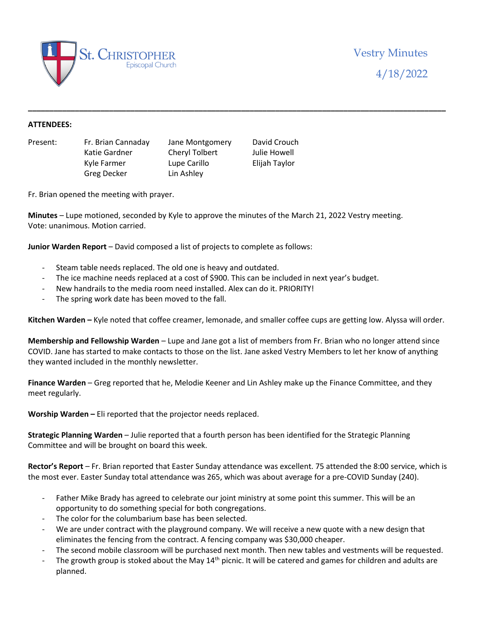

## **ATTENDEES:**

Present: Fr. Brian Cannaday Jane Montgomery David Crouch Katie Gardner Cheryl Tolbert Julie Howell Kyle Farmer Lupe Carillo Elijah Taylor Greg Decker Lin Ashley

Fr. Brian opened the meeting with prayer.

**Minutes** – Lupe motioned, seconded by Kyle to approve the minutes of the March 21, 2022 Vestry meeting. Vote: unanimous. Motion carried.

**Junior Warden Report** – David composed a list of projects to complete as follows:

- Steam table needs replaced. The old one is heavy and outdated.
- The ice machine needs replaced at a cost of \$900. This can be included in next year's budget.
- New handrails to the media room need installed. Alex can do it. PRIORITY!
- The spring work date has been moved to the fall.

**Kitchen Warden –** Kyle noted that coffee creamer, lemonade, and smaller coffee cups are getting low. Alyssa will order.

**\_\_\_\_\_\_\_\_\_\_\_\_\_\_\_\_\_\_\_\_\_\_\_\_\_\_\_\_\_\_\_\_\_\_\_\_\_\_\_\_\_\_\_\_\_\_\_\_\_\_\_\_\_\_\_\_\_\_\_\_\_\_\_\_\_\_\_\_\_\_\_\_\_\_\_\_\_\_\_\_\_\_\_\_\_\_\_\_\_\_\_\_\_\_\_\_\_\_**

**Membership and Fellowship Warden** – Lupe and Jane got a list of members from Fr. Brian who no longer attend since COVID. Jane has started to make contacts to those on the list. Jane asked Vestry Members to let her know of anything they wanted included in the monthly newsletter.

**Finance Warden** – Greg reported that he, Melodie Keener and Lin Ashley make up the Finance Committee, and they meet regularly.

**Worship Warden –** Eli reported that the projector needs replaced.

**Strategic Planning Warden** – Julie reported that a fourth person has been identified for the Strategic Planning Committee and will be brought on board this week.

**Rector's Report** – Fr. Brian reported that Easter Sunday attendance was excellent. 75 attended the 8:00 service, which is the most ever. Easter Sunday total attendance was 265, which was about average for a pre-COVID Sunday (240).

- Father Mike Brady has agreed to celebrate our joint ministry at some point this summer. This will be an opportunity to do something special for both congregations.
- The color for the columbarium base has been selected.
- We are under contract with the playground company. We will receive a new quote with a new design that eliminates the fencing from the contract. A fencing company was \$30,000 cheaper.
- The second mobile classroom will be purchased next month. Then new tables and vestments will be requested.
- The growth group is stoked about the May  $14<sup>th</sup>$  picnic. It will be catered and games for children and adults are planned.